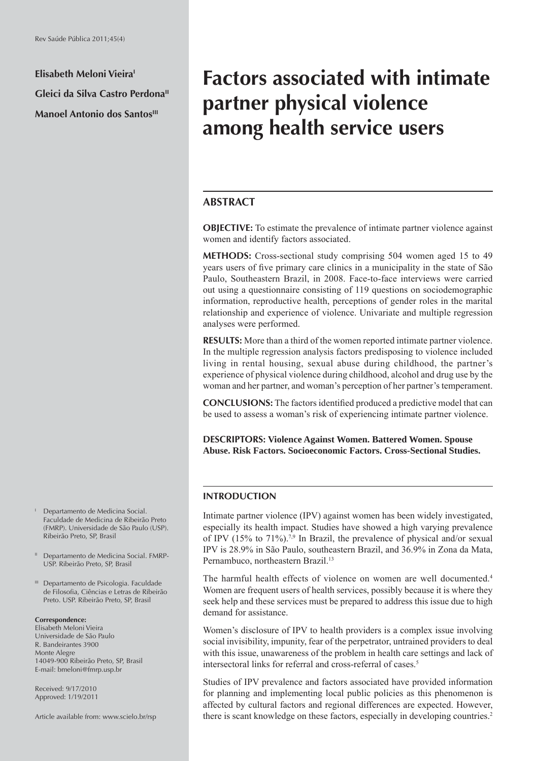**Elisabeth Meloni VieiraI Gleici da Silva Castro Perdona" Manoel Antonio dos Santos**<sup>III</sup>

# **Factors associated with intimate partner physical violence among health service users**

## **ABSTRACT**

**OBJECTIVE:** To estimate the prevalence of intimate partner violence against women and identify factors associated.

**METHODS:** Cross-sectional study comprising 504 women aged 15 to 49 years users of five primary care clinics in a municipality in the state of São Paulo, Southeastern Brazil, in 2008. Face-to-face interviews were carried out using a questionnaire consisting of 119 questions on sociodemographic information, reproductive health, perceptions of gender roles in the marital relationship and experience of violence. Univariate and multiple regression analyses were performed.

**RESULTS:** More than a third of the women reported intimate partner violence. In the multiple regression analysis factors predisposing to violence included living in rental housing, sexual abuse during childhood, the partner's experience of physical violence during childhood, alcohol and drug use by the woman and her partner, and woman's perception of her partner's temperament.

**CONCLUSIONS:** The factors identified produced a predictive model that can be used to assess a woman's risk of experiencing intimate partner violence.

**DESCRIPTORS: Violence Against Women. Battered Women. Spouse Abuse. Risk Factors. Socioeconomic Factors. Cross-Sectional Studies.**

## **INTRODUCTION**

Intimate partner violence (IPV) against women has been widely investigated, especially its health impact. Studies have showed a high varying prevalence of IPV (15% to 71%).<sup>7,9</sup> In Brazil, the prevalence of physical and/or sexual IPV is 28.9% in São Paulo, southeastern Brazil, and 36.9% in Zona da Mata, Pernambuco, northeastern Brazil.<sup>13</sup>

The harmful health effects of violence on women are well documented.<sup>4</sup> Women are frequent users of health services, possibly because it is where they seek help and these services must be prepared to address this issue due to high demand for assistance.

Women's disclosure of IPV to health providers is a complex issue involving social invisibility, impunity, fear of the perpetrator, untrained providers to deal with this issue, unawareness of the problem in health care settings and lack of intersectoral links for referral and cross-referral of cases.5

Studies of IPV prevalence and factors associated have provided information for planning and implementing local public policies as this phenomenon is affected by cultural factors and regional differences are expected. However, there is scant knowledge on these factors, especially in developing countries.<sup>2</sup>

- I Departamento de Medicina Social. Faculdade de Medicina de Ribeirão Preto (FMRP). Universidade de São Paulo (USP). Ribeirão Preto, SP, Brasil
- II Departamento de Medicina Social. FMRP-USP. Ribeirão Preto, SP, Brasil
- III Departamento de Psicologia. Faculdade de Filosofia, Ciências e Letras de Ribeirão Preto. USP. Ribeirão Preto, SP, Brasil

#### **Correspondence:**

Elisabeth Meloni Vieira Universidade de São Paulo R. Bandeirantes 3900 Monte Alegre 14049-900 Ribeirão Preto, SP, Brasil E-mail: bmeloni@fmrp.usp.br

Received: 9/17/2010 Approved: 1/19/2011

Article available from: www.scielo.br/rsp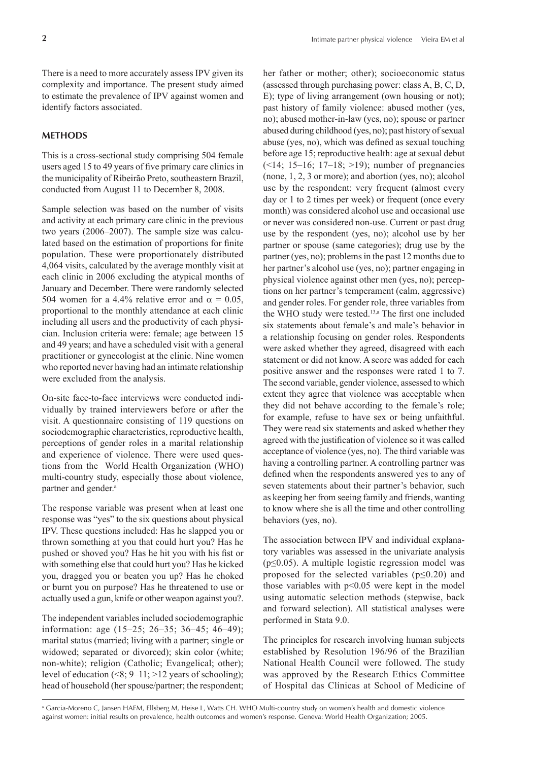There is a need to more accurately assess IPV given its complexity and importance. The present study aimed to estimate the prevalence of IPV against women and identify factors associated.

## **METHODS**

This is a cross-sectional study comprising 504 female users aged 15 to 49 years of five primary care clinics in the municipality of Ribeirão Preto, southeastern Brazil, conducted from August 11 to December 8, 2008.

Sample selection was based on the number of visits and activity at each primary care clinic in the previous two years (2006–2007). The sample size was calculated based on the estimation of proportions for finite population. These were proportionately distributed 4,064 visits, calculated by the average monthly visit at each clinic in 2006 excluding the atypical months of January and December. There were randomly selected 504 women for a 4.4% relative error and  $\alpha = 0.05$ . proportional to the monthly attendance at each clinic including all users and the productivity of each physician. Inclusion criteria were: female; age between 15 and 49 years; and have a scheduled visit with a general practitioner or gynecologist at the clinic. Nine women who reported never having had an intimate relationship were excluded from the analysis.

On-site face-to-face interviews were conducted individually by trained interviewers before or after the visit. A questionnaire consisting of 119 questions on sociodemographic characteristics, reproductive health, perceptions of gender roles in a marital relationship and experience of violence. There were used questions from the World Health Organization (WHO) multi-country study, especially those about violence, partner and gender.<sup>a</sup>

The response variable was present when at least one response was "yes" to the six questions about physical IPV. These questions included: Has he slapped you or thrown something at you that could hurt you? Has he pushed or shoved you? Has he hit you with his fist or with something else that could hurt you? Has he kicked you, dragged you or beaten you up? Has he choked or burnt you on purpose? Has he threatened to use or actually used a gun, knife or other weapon against you?.

The independent variables included sociodemographic information: age (15–25; 26–35; 36–45; 46–49); marital status (married; living with a partner; single or widowed; separated or divorced); skin color (white; non-white); religion (Catholic; Evangelical; other); level of education  $(8, 9-11)$ ;  $>12$  years of schooling); head of household (her spouse/partner; the respondent; her father or mother; other); socioeconomic status (assessed through purchasing power: class A, B, C, D, E); type of living arrangement (own housing or not); past history of family violence: abused mother (yes, no); abused mother-in-law (yes, no); spouse or partner abused during childhood (yes, no); past history of sexual abuse (yes, no), which was defined as sexual touching before age 15; reproductive health: age at sexual debut  $(\leq 14; 15-16; 17-18; \geq 19)$ ; number of pregnancies (none, 1, 2, 3 or more); and abortion (yes, no); alcohol use by the respondent: very frequent (almost every day or 1 to 2 times per week) or frequent (once every month) was considered alcohol use and occasional use or never was considered non-use. Current or past drug use by the respondent (yes, no); alcohol use by her partner or spouse (same categories); drug use by the partner (yes, no); problems in the past 12 months due to her partner's alcohol use (yes, no); partner engaging in physical violence against other men (yes, no); perceptions on her partner's temperament (calm, aggressive) and gender roles. For gender role, three variables from the WHO study were tested.<sup>13,a</sup> The first one included six statements about female's and male's behavior in a relationship focusing on gender roles. Respondents were asked whether they agreed, disagreed with each statement or did not know. A score was added for each positive answer and the responses were rated 1 to 7. The second variable, gender violence, assessed to which extent they agree that violence was acceptable when they did not behave according to the female's role; for example, refuse to have sex or being unfaithful. They were read six statements and asked whether they agreed with the justification of violence so it was called acceptance of violence (yes, no). The third variable was having a controlling partner. A controlling partner was defined when the respondents answered yes to any of seven statements about their partner's behavior, such as keeping her from seeing family and friends, wanting to know where she is all the time and other controlling behaviors (yes, no).

The association between IPV and individual explanatory variables was assessed in the univariate analysis  $(p \le 0.05)$ . A multiple logistic regression model was proposed for the selected variables ( $p \le 0.20$ ) and those variables with  $p<0.05$  were kept in the model using automatic selection methods (stepwise, back and forward selection). All statistical analyses were performed in Stata 9.0.

The principles for research involving human subjects established by Resolution 196/96 of the Brazilian National Health Council were followed. The study was approved by the Research Ethics Committee of Hospital das Clínicas at School of Medicine of

a Garcia-Moreno C, Jansen HAFM, Ellsberg M, Heise L, Watts CH. WHO Multi-country study on women's health and domestic violence against women: initial results on prevalence, health outcomes and women's response. Geneva: World Health Organization; 2005.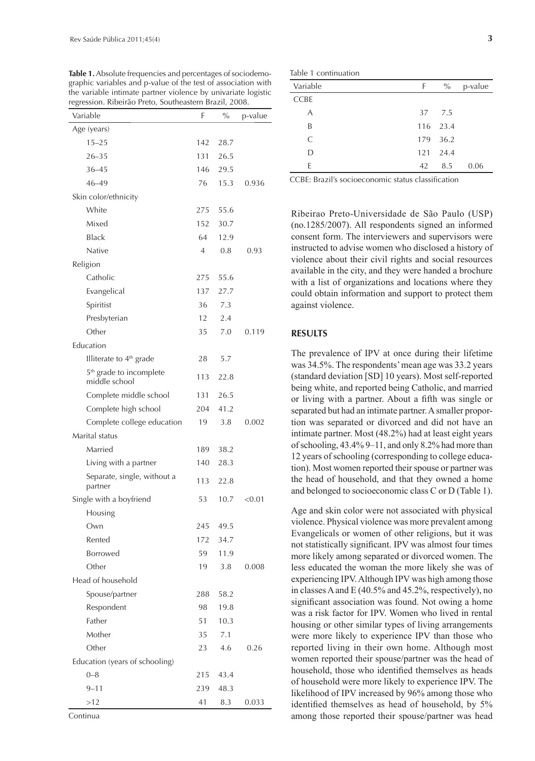| Variable                                             | F              | $\frac{0}{0}$ | p-value |
|------------------------------------------------------|----------------|---------------|---------|
| Age (years)                                          |                |               |         |
| $15 - 25$                                            | 142            | 28.7          |         |
| $26 - 35$                                            | 131            | 26.5          |         |
| $36 - 45$                                            | 146            | 29.5          |         |
| 46-49                                                | 76             | 15.3          | 0.936   |
| Skin color/ethnicity                                 |                |               |         |
| White                                                | 275            | 55.6          |         |
| Mixed                                                | 152            | 30.7          |         |
| Black                                                | 64             | 12.9          |         |
| Native                                               | $\overline{4}$ | 0.8           | 0.93    |
| Religion                                             |                |               |         |
| Catholic                                             | 275            | 55.6          |         |
| Evangelical                                          | 137            | 27.7          |         |
| Spiritist                                            | 36             | 7.3           |         |
| Presbyterian                                         | 12             | 2.4           |         |
| Other                                                | 35             | 7.0           | 0.119   |
| Education                                            |                |               |         |
| Illiterate to 4 <sup>th</sup> grade                  | 28             | 5.7           |         |
| 5 <sup>th</sup> grade to incomplete<br>middle school | 113            | 22.8          |         |
| Complete middle school                               | 131            | 26.5          |         |
| Complete high school                                 | 204            | 41.2          |         |
| Complete college education                           | 19             | 3.8           | 0.002   |
| Marital status                                       |                |               |         |
| Married                                              | 189            | 38.2          |         |
| Living with a partner                                | 140            | 28.3          |         |
| Separate, single, without a<br>partner               | 113            | 22.8          |         |
| Single with a boyfriend                              | 53             | 10.7          | < 0.01  |
| Housing                                              |                |               |         |
| Own                                                  | 245            | 49.5          |         |
| Rented                                               | 172            | 34.7          |         |
| <b>Borrowed</b>                                      | 59             | 11.9          |         |
| Other                                                | 19             | 3.8           | 0.008   |
| Head of household                                    |                |               |         |
| Spouse/partner                                       | 288            | 58.2          |         |
| Respondent                                           | 98             | 19.8          |         |
| Father                                               | 51             | 10.3          |         |
| Mother                                               | 35             | 7.1           |         |
| Other                                                | 23             | 4.6           | 0.26    |
| Education (years of schooling)                       |                |               |         |
| $0 - 8$                                              | 215            | 43.4          |         |
| $9 - 11$                                             | 239            | 48.3          |         |
| >12                                                  | 41             | 8.3           | 0.033   |

**Table 1.** Absolute frequencies and percentages of sociodemographic variables and p-value of the test of association with the variable intimate partner violence by univariate logistic

| Variable    | F. | $\%$     | p-value |
|-------------|----|----------|---------|
| <b>CCBE</b> |    |          |         |
| А           |    | 37 7.5   |         |
| B           |    | 116 23.4 |         |
| C           |    | 179 36.2 |         |
| D           |    | 121 24.4 |         |
| F           | 42 | 8.5      | 0.06    |

CCBE: Brazil's socioeconomic status classification

Ribeirao Preto-Universidade de São Paulo (USP) (no.1285/2007). All respondents signed an informed consent form. The interviewers and supervisors were instructed to advise women who disclosed a history of violence about their civil rights and social resources available in the city, and they were handed a brochure with a list of organizations and locations where they could obtain information and support to protect them against violence.

#### **RESULTS**

The prevalence of IPV at once during their lifetime was 34.5%. The respondents' mean age was 33.2 years (standard deviation [SD] 10 years). Most self-reported being white, and reported being Catholic, and married or living with a partner. About a fifth was single or separated but had an intimate partner. A smaller proportion was separated or divorced and did not have an intimate partner. Most (48.2%) had at least eight years of schooling, 43.4% 9–11, and only 8.2% had more than 12 years of schooling (corresponding to college education). Most women reported their spouse or partner was the head of household, and that they owned a home and belonged to socioeconomic class C or D (Table 1).

Age and skin color were not associated with physical violence. Physical violence was more prevalent among Evangelicals or women of other religions, but it was not statistically significant. IPV was almost four times more likely among separated or divorced women. The less educated the woman the more likely she was of experiencing IPV. Although IPV was high among those in classes A and E (40.5% and 45.2%, respectively), no significant association was found. Not owing a home was a risk factor for IPV. Women who lived in rental housing or other similar types of living arrangements were more likely to experience IPV than those who reported living in their own home. Although most women reported their spouse/partner was the head of household, those who identified themselves as heads of household were more likely to experience IPV. The likelihood of IPV increased by 96% among those who identified themselves as head of household, by 5% among those reported their spouse/partner was head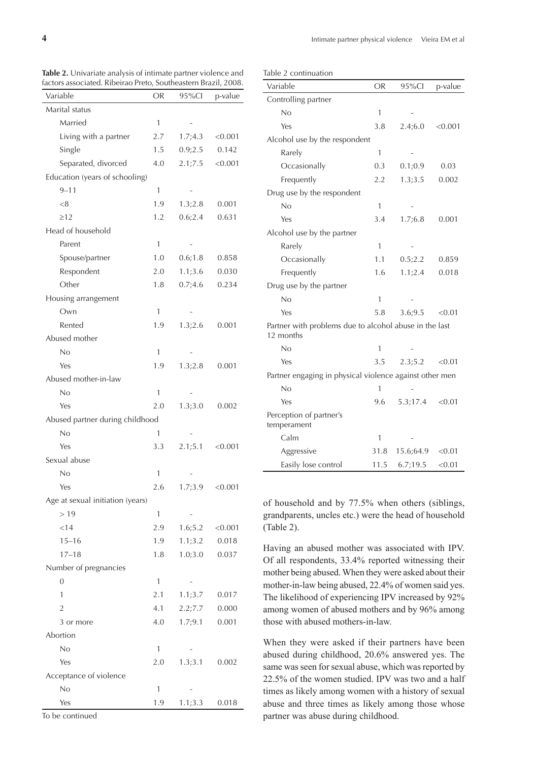Table 2 continuation

**Table 2.** Univariate analysis of intimate partner violence and factors associated. Ribeirao Preto, Southeastern Brazil, 2008.

| Variable                         | OR           | 95%Cl    | p-value |
|----------------------------------|--------------|----------|---------|
| Marital status                   |              |          |         |
| Married                          | 1            |          |         |
| Living with a partner            | 2.7          | 1.7;4.3  | < 0.001 |
| Single                           | 1.5          | 0.9;2.5  | 0.142   |
| Separated, divorced              | 4.0          | 2.1;7.5  | < 0.001 |
| Education (years of schooling)   |              |          |         |
| $9 - 11$                         | 1            |          |         |
| < 8                              | 1.9          | 1.3;2.8  | 0.001   |
| $\geq$ 12                        | 1.2          | 0.6;2.4  | 0.631   |
| Head of household                |              |          |         |
| Parent                           | 1            |          |         |
| Spouse/partner                   | 1.0          | 0.6; 1.8 | 0.858   |
| Respondent                       | 2.0          | 1.1;3.6  | 0.030   |
| Other                            | 1.8          | 0.7;4.6  | 0.234   |
| Housing arrangement              |              |          |         |
| Own                              | $\mathbf{1}$ |          |         |
| Rented                           | 1.9          | 1.3;2.6  | 0.001   |
| Abused mother                    |              |          |         |
| No                               | $\mathbf{1}$ |          |         |
| Yes                              | 1.9          | 1.3;2.8  | 0.001   |
| Abused mother-in-law             |              |          |         |
| No                               | 1            |          |         |
| Yes                              | 2.0          | 1.3;3.0  | 0.002   |
| Abused partner during childhood  |              |          |         |
| No                               | 1            |          |         |
| Yes                              | 3.3          | 2.1;5.1  | < 0.001 |
| Sexual abuse                     |              |          |         |
| No                               | 1            |          |         |
| Yes                              | 2.6          | 1.7;3.9  | < 0.001 |
| Age at sexual initiation (years) |              |          |         |
| >19                              | 1            |          |         |
| $<$ 14                           | 2.9          | 1.6;5.2  | < 0.001 |
| $15 - 16$                        | 1.9          | 1.1;3.2  | 0.018   |
| $17 - 18$                        | 1.8          | 1.0;3.0  | 0.037   |
| Number of pregnancies            |              |          |         |
| $\overline{0}$                   | 1            |          |         |
| 1                                | 2.1          | 1.1;3.7  | 0.017   |
| $\overline{2}$                   | 4.1          | 2.2;7.7  | 0.000   |
| 3 or more                        | 4.0          | 1.7;9.1  | 0.001   |
| Abortion                         |              |          |         |
| No                               | 1            |          |         |
| Yes                              | 2.0          | 1.3;3.1  | 0.002   |
| Acceptance of violence           |              |          |         |
| No                               | $\mathbf{1}$ |          |         |
| Yes                              | 1.9          | 1.1;3.3  | 0.018   |

|  |  | To be continued |
|--|--|-----------------|
|--|--|-----------------|

| Variable                                                            | <b>OR</b>    | 95%Cl     | p-value |
|---------------------------------------------------------------------|--------------|-----------|---------|
| Controlling partner                                                 |              |           |         |
| No                                                                  | $\mathbf{1}$ |           |         |
| Yes                                                                 | 3.8          | 2.4;6.0   | < 0.001 |
| Alcohol use by the respondent                                       |              |           |         |
| Rarely                                                              | 1            |           |         |
| Occasionally                                                        | 0.3          | 0.1;0.9   | 0.03    |
| Frequently                                                          | 2.2          | 1.3;3.5   | 0.002   |
| Drug use by the respondent                                          |              |           |         |
| No                                                                  | 1            |           |         |
| Yes                                                                 | 3.4          | 1.7:6.8   | 0.001   |
| Alcohol use by the partner                                          |              |           |         |
| Rarely                                                              | $\mathbf{1}$ |           |         |
| Occasionally                                                        | 1.1          | 0.5;2.2   | 0.859   |
| Frequently                                                          | 1.6          | 1.1;2.4   | 0.018   |
| Drug use by the partner                                             |              |           |         |
| No                                                                  | 1            |           |         |
| Yes                                                                 | 5.8          | 3.6;9.5   | < 0.01  |
| Partner with problems due to alcohol abuse in the last<br>12 months |              |           |         |
| No                                                                  | 1            |           |         |
| Yes                                                                 | 3.5          | 2.3;5.2   | < 0.01  |
| Partner engaging in physical violence against other men             |              |           |         |
| No                                                                  | 1            |           |         |
| Yes                                                                 | 9.6          | 5.3;17.4  | < 0.01  |
| Perception of partner's<br>temperament                              |              |           |         |
| Calm                                                                | 1            |           |         |
| Aggressive                                                          | 31.8         | 15.6;64.9 | < 0.01  |
| Easily lose control                                                 | 11.5         | 6.7;19.5  | < 0.01  |

of household and by 77.5% when others (siblings, grandparents, uncles etc.) were the head of household (Table 2).

 $\overline{\phantom{a}}$ 

Having an abused mother was associated with IPV. Of all respondents, 33.4% reported witnessing their mother being abused. When they were asked about their mother-in-law being abused, 22.4% of women said yes. The likelihood of experiencing IPV increased by 92% among women of abused mothers and by 96% among those with abused mothers-in-law.

When they were asked if their partners have been abused during childhood, 20.6% answered yes. The same was seen for sexual abuse, which was reported by 22.5% of the women studied. IPV was two and a half times as likely among women with a history of sexual abuse and three times as likely among those whose partner was abuse during childhood.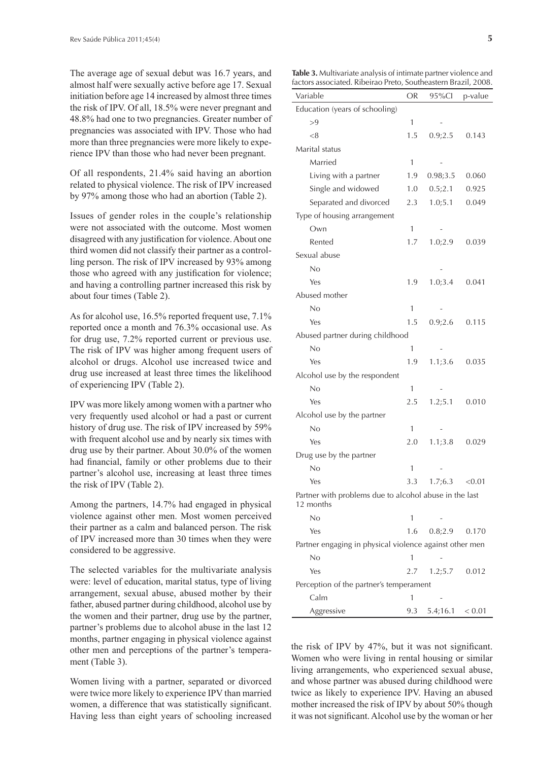The average age of sexual debut was 16.7 years, and almost half were sexually active before age 17. Sexual initiation before age 14 increased by almost three times the risk of IPV. Of all, 18.5% were never pregnant and 48.8% had one to two pregnancies. Greater number of pregnancies was associated with IPV. Those who had more than three pregnancies were more likely to experience IPV than those who had never been pregnant.

Of all respondents, 21.4% said having an abortion related to physical violence. The risk of IPV increased by 97% among those who had an abortion (Table 2).

Issues of gender roles in the couple's relationship were not associated with the outcome. Most women disagreed with any justification for violence. About one third women did not classify their partner as a controlling person. The risk of IPV increased by 93% among those who agreed with any justification for violence; and having a controlling partner increased this risk by about four times (Table 2).

As for alcohol use, 16.5% reported frequent use, 7.1% reported once a month and 76.3% occasional use. As for drug use, 7.2% reported current or previous use. The risk of IPV was higher among frequent users of alcohol or drugs. Alcohol use increased twice and drug use increased at least three times the likelihood of experiencing IPV (Table 2).

IPV was more likely among women with a partner who very frequently used alcohol or had a past or current history of drug use. The risk of IPV increased by 59% with frequent alcohol use and by nearly six times with drug use by their partner. About 30.0% of the women had financial, family or other problems due to their partner's alcohol use, increasing at least three times the risk of IPV (Table 2).

Among the partners, 14.7% had engaged in physical violence against other men. Most women perceived their partner as a calm and balanced person. The risk of IPV increased more than 30 times when they were considered to be aggressive.

The selected variables for the multivariate analysis were: level of education, marital status, type of living arrangement, sexual abuse, abused mother by their father, abused partner during childhood, alcohol use by the women and their partner, drug use by the partner, partner's problems due to alcohol abuse in the last 12 months, partner engaging in physical violence against other men and perceptions of the partner's temperament (Table 3).

Women living with a partner, separated or divorced were twice more likely to experience IPV than married women, a difference that was statistically significant. Having less than eight years of schooling increased

**Table 3.** Multivariate analysis of intimate partner violence and factors associated. Ribeirao Preto, Southeastern Brazil, 2008.

| Variable                                                | OR           | southeastern prazing<br>95%Cl | p-value |
|---------------------------------------------------------|--------------|-------------------------------|---------|
| Education (years of schooling)                          |              |                               |         |
| >9                                                      | 1            |                               |         |
| < 8                                                     | 1.5          | 0.9;2.5                       | 0.143   |
| Marital status                                          |              |                               |         |
| Married                                                 | 1            |                               |         |
| Living with a partner                                   | 1.9          | 0.98;3.5                      | 0.060   |
| Single and widowed                                      | 1.0          | 0.5;2.1                       | 0.925   |
| Separated and divorced                                  | 2.3          | 1.0;5.1                       | 0.049   |
| Type of housing arrangement                             |              |                               |         |
| Own                                                     | 1            |                               |         |
| Rented                                                  | 1.7          | 1.0;2.9                       | 0.039   |
| Sexual abuse                                            |              |                               |         |
| No                                                      |              |                               |         |
| Yes                                                     | 1.9          | 1.0;3.4                       | 0.041   |
| Abused mother                                           |              |                               |         |
| No                                                      | 1            |                               |         |
| Yes                                                     | 1.5          | 0.9;2.6                       | 0.115   |
| Abused partner during childhood                         |              |                               |         |
| No                                                      | 1            |                               |         |
| Yes                                                     | 1.9          | 1.1;3.6                       | 0.035   |
| Alcohol use by the respondent                           |              |                               |         |
| No                                                      | 1            |                               |         |
| Yes                                                     | 2.5          | 1.2;5.1                       | 0.010   |
| Alcohol use by the partner                              |              |                               |         |
| No                                                      | 1            |                               |         |
| Yes                                                     | 2.0          | 1.1;3.8                       | 0.029   |
| Drug use by the partner                                 |              |                               |         |
| No                                                      | 1            |                               |         |
| Yes                                                     | 3.3          | 1.7;6.3                       | < 0.01  |
| Partner with problems due to alcohol abuse in the last  |              |                               |         |
| 12 months                                               |              |                               |         |
| No                                                      | 1            |                               |         |
| Yes                                                     | 1.6          | 0.8;2.9                       | 0.170   |
| Partner engaging in physical violence against other men |              |                               |         |
| No                                                      | 1            |                               |         |
| Yes                                                     | 2.7          | 1.2;5.7                       | 0.012   |
| Perception of the partner's temperament                 |              |                               |         |
| Calm                                                    | $\mathbf{1}$ |                               |         |
| Aggressive                                              | 9.3          | $5.4;16.1 \le 0.01$           |         |

the risk of IPV by  $47\%$ , but it was not significant. Women who were living in rental housing or similar living arrangements, who experienced sexual abuse, and whose partner was abused during childhood were twice as likely to experience IPV. Having an abused mother increased the risk of IPV by about 50% though it was not significant. Alcohol use by the woman or her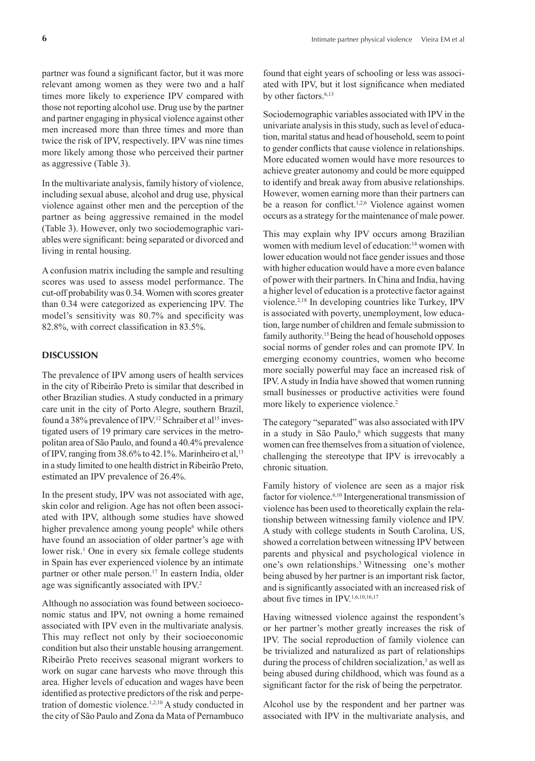partner was found a significant factor, but it was more relevant among women as they were two and a half times more likely to experience IPV compared with those not reporting alcohol use. Drug use by the partner and partner engaging in physical violence against other men increased more than three times and more than twice the risk of IPV, respectively. IPV was nine times more likely among those who perceived their partner as aggressive (Table 3).

In the multivariate analysis, family history of violence, including sexual abuse, alcohol and drug use, physical violence against other men and the perception of the partner as being aggressive remained in the model (Table 3). However, only two sociodemographic variables were significant: being separated or divorced and living in rental housing.

A confusion matrix including the sample and resulting scores was used to assess model performance. The cut-off probability was 0.34. Women with scores greater than 0.34 were categorized as experiencing IPV. The model's sensitivity was 80.7% and specificity was 82.8%, with correct classification in 83.5%.

### **DISCUSSION**

The prevalence of IPV among users of health services in the city of Ribeirão Preto is similar that described in other Brazilian studies. A study conducted in a primary care unit in the city of Porto Alegre, southern Brazil, found a 38% prevalence of IPV.<sup>12</sup> Schraiber et al<sup>15</sup> investigated users of 19 primary care services in the metropolitan area of São Paulo, and found a 40.4% prevalence of IPV, ranging from  $38.6\%$  to  $42.1\%$ . Marinheiro et al,  $13$ in a study limited to one health district in Ribeirão Preto, estimated an IPV prevalence of 26.4%.

In the present study, IPV was not associated with age, skin color and religion. Age has not often been associated with IPV, although some studies have showed higher prevalence among young people<sup>6</sup> while others have found an association of older partner's age with lower risk.<sup>1</sup> One in every six female college students in Spain has ever experienced violence by an intimate partner or other male person.<sup>17</sup> In eastern India, older age was significantly associated with IPV.<sup>2</sup>

Although no association was found between socioeconomic status and IPV, not owning a home remained associated with IPV even in the multivariate analysis. This may reflect not only by their socioeconomic condition but also their unstable housing arrangement. Ribeirão Preto receives seasonal migrant workers to work on sugar cane harvests who move through this area. Higher levels of education and wages have been identified as protective predictors of the risk and perpetration of domestic violence.1,2,10 A study conducted in the city of São Paulo and Zona da Mata of Pernambuco

found that eight years of schooling or less was associated with IPV, but it lost significance when mediated by other factors.<sup>6,13</sup>

Sociodemographic variables associated with IPV in the univariate analysis in this study, such as level of education, marital status and head of household, seem to point to gender conflicts that cause violence in relationships. More educated women would have more resources to achieve greater autonomy and could be more equipped to identify and break away from abusive relationships. However, women earning more than their partners can be a reason for conflict.<sup>1,2,6</sup> Violence against women occurs as a strategy for the maintenance of male power.

This may explain why IPV occurs among Brazilian women with medium level of education:14 women with lower education would not face gender issues and those with higher education would have a more even balance of power with their partners. In China and India, having a higher level of education is a protective factor against violence.2,18 In developing countries like Turkey, IPV is associated with poverty, unemployment, low education, large number of children and female submission to family authority.<sup>15</sup> Being the head of household opposes social norms of gender roles and can promote IPV. In emerging economy countries, women who become more socially powerful may face an increased risk of IPV. A study in India have showed that women running small businesses or productive activities were found more likely to experience violence.<sup>2</sup>

The category "separated" was also associated with IPV in a study in São Paulo,<sup>6</sup> which suggests that many women can free themselves from a situation of violence, challenging the stereotype that IPV is irrevocably a chronic situation.

Family history of violence are seen as a major risk factor for violence.6,10 Intergenerational transmission of violence has been used to theoretically explain the relationship between witnessing family violence and IPV. A study with college students in South Carolina, US, showed a correlation between witnessing IPV between parents and physical and psychological violence in one's own relationships.3 Witnessing one's mother being abused by her partner is an important risk factor, and is significantly associated with an increased risk of about five times in IPV.<sup>1,6,10,16,17</sup>

Having witnessed violence against the respondent's or her partner's mother greatly increases the risk of IPV. The social reproduction of family violence can be trivialized and naturalized as part of relationships during the process of children socialization,<sup>3</sup> as well as being abused during childhood, which was found as a significant factor for the risk of being the perpetrator.

Alcohol use by the respondent and her partner was associated with IPV in the multivariate analysis, and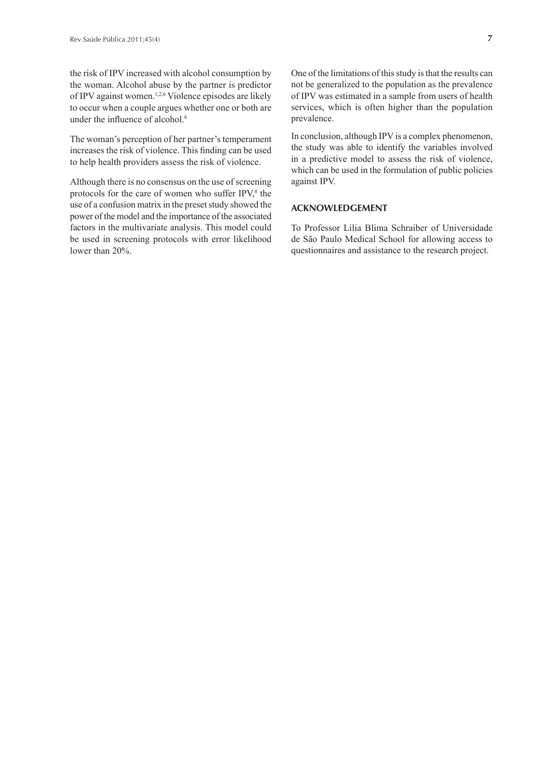the risk of IPV increased with alcohol consumption by the woman. Alcohol abuse by the partner is predictor of IPV against women.1,2,6 Violence episodes are likely to occur when a couple argues whether one or both are under the influence of alcohol.<sup>6</sup>

The woman's perception of her partner's temperament increases the risk of violence. This finding can be used to help health providers assess the risk of violence.

Although there is no consensus on the use of screening protocols for the care of women who suffer IPV,<sup>8</sup> the use of a confusion matrix in the preset study showed the power of the model and the importance of the associated factors in the multivariate analysis. This model could be used in screening protocols with error likelihood lower than 20%.

One of the limitations of this study is that the results can not be generalized to the population as the prevalence of IPV was estimated in a sample from users of health services, which is often higher than the population prevalence.

In conclusion, although IPV is a complex phenomenon, the study was able to identify the variables involved in a predictive model to assess the risk of violence, which can be used in the formulation of public policies against IPV.

## **ACKNOWLEDGEMENT**

To Professor Lilia Blima Schraiber of Universidade de São Paulo Medical School for allowing access to questionnaires and assistance to the research project.